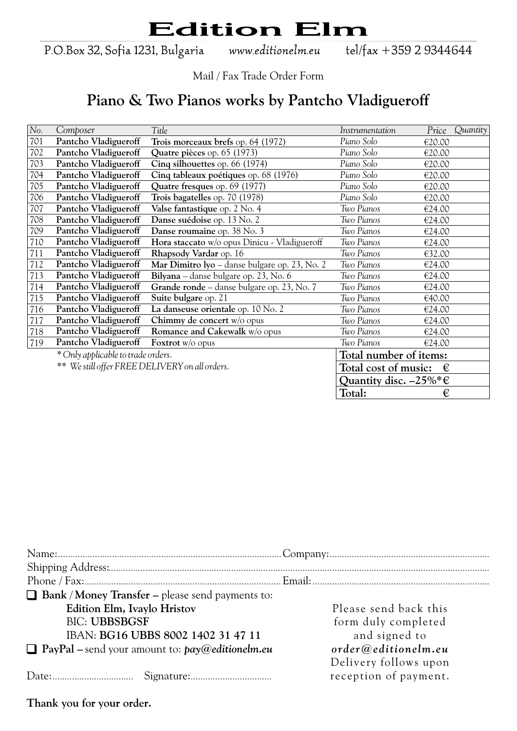P.O.Box 32, Sofia 1231, Bulgaria

www.editionelm.eu

tel/fax +359 2 9344644

Mail / Fax Trade Order Form

### **Piano & Two Pianos works by Pantcho Vladigueroff**

| No. | Composer                                       | Title                                         | Instrumentation                           | Price  | Quantity |
|-----|------------------------------------------------|-----------------------------------------------|-------------------------------------------|--------|----------|
| 701 | Pantcho Vladigueroff                           | Trois morceaux brefs op. 64 (1972)            | Piano Solo                                | €20.00 |          |
| 702 | Pantcho Vladigueroff                           | Quatre pièces op. 65 (1973)                   | Piano Solo                                | €20.00 |          |
| 703 | Pantcho Vladigueroff                           | Cinq silhouettes op. 66 (1974)                | Piano Solo                                | €20.00 |          |
| 704 | Pantcho Vladigueroff                           | Cinq tableaux poétiques op. 68 (1976)         | Piano Solo                                | €20.00 |          |
| 705 | Pantcho Vladigueroff                           | Quatre fresques op. 69 (1977)                 | Piano Solo                                | €20.00 |          |
| 706 | Pantcho Vladigueroff                           | Trois bagatelles op. 70 (1978)                | Piano Solo                                | €20.00 |          |
| 707 | Pantcho Vladigueroff                           | Valse fantastique op. 2 No. 4                 | Two Pianos                                | €24.00 |          |
| 708 | Pantcho Vladigueroff                           | Danse suédoise op. 13 No. 2                   | Two Pianos                                | €24.00 |          |
| 709 | Pantcho Vladigueroff                           | Danse roumaine op. 38 No. 3                   | Two Pianos                                | €24.00 |          |
| 710 | Pantcho Vladigueroff                           | Hora staccato w/o opus Dinicu - Vladigueroff  | Two Pianos                                | €24.00 |          |
| 711 | Pantcho Vladigueroff                           | Rhapsody Vardar op. 16                        | Two Pianos                                | €32.00 |          |
| 712 | Pantcho Vladigueroff                           | Mar Dimitro Iyo - danse bulgare op. 23, No. 2 | Two Pianos                                | €24.00 |          |
| 713 | Pantcho Vladigueroff                           | Bilyana – danse bulgare op. 23, No. 6         | Two Pianos                                | €24.00 |          |
| 714 | Pantcho Vladigueroff                           | Grande ronde - danse bulgare op. 23, No. 7    | Two Pianos                                | €24.00 |          |
| 715 | Pantcho Vladigueroff                           | Suite bulgare op. 21                          | Two Pianos                                | €40.00 |          |
| 716 | Pantcho Vladigueroff                           | La danseuse orientale op. 10 No. 2            | Two Pianos                                | €24.00 |          |
| 717 | Pantcho Vladigueroff                           | Chimmy de concert w/o opus                    | Two Pianos                                | €24.00 |          |
| 718 | Pantcho Vladigueroff                           | Romance and Cakewalk w/o opus                 | Two Pianos                                | €24.00 |          |
| 719 | Pantcho Vladigueroff                           | <b>Foxtrot</b> $w$ /0 opus                    | Two Pianos                                | €24.00 |          |
|     | * Only applicable to trade orders.             |                                               | Total number of items:                    |        |          |
|     | ** We still offer FREE DELIVERY on all orders. |                                               | Total cost of music:                      | €      |          |
|     |                                                |                                               | Quantity disc. $-25\%$ <sup>*</sup> $\in$ |        |          |
|     |                                                |                                               | Total:                                    | €      |          |

| $\Box$ Bank / Money Transfer – please send payments to:  |                       |
|----------------------------------------------------------|-----------------------|
| Edition Elm, Ivaylo Hristov                              | Please send back this |
| <b>BIC: UBBSBGSF</b>                                     | form duly completed   |
| IBAN: BG16 UBBS 8002 1402 31 47 11                       | and signed to         |
| $\Box$ PayPal – send your amount to: $pay@editionelm.eu$ | order@editionelm.eu   |
|                                                          | Delivery follows upon |
|                                                          | reception of payment. |
|                                                          |                       |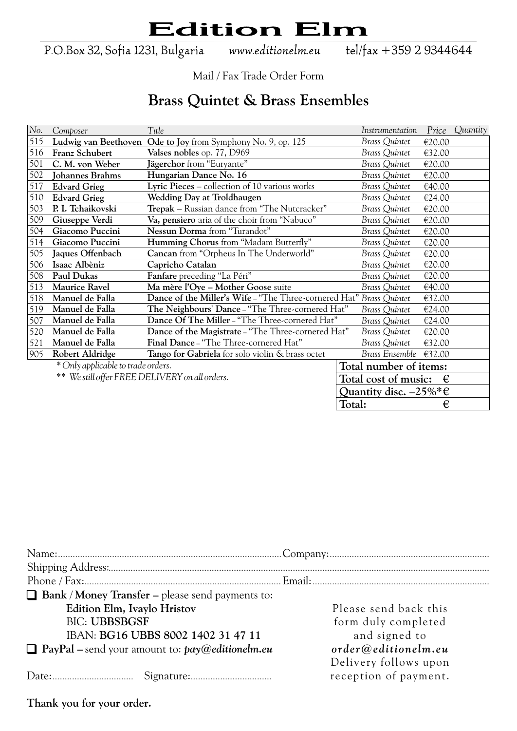P.O.Box 32, Sofia 1231, Bulgaria

www.editionelm.eu

tel/fax +359 2 9344644

Mail / Fax Trade Order Form

#### **Brass Quintet & Brass Ensembles**

| No. | Composer                                       | Title                                                               | Instrumentation                           | Price  | Quantity |
|-----|------------------------------------------------|---------------------------------------------------------------------|-------------------------------------------|--------|----------|
| 515 | Ludwig van Beethoven                           | Ode to Joy from Symphony No. 9, op. 125                             | <b>Brass Quintet</b>                      | €20.00 |          |
| 516 | Franz Schubert                                 | Valses nobles op. 77, D969                                          | <b>Brass Quintet</b>                      | €32.00 |          |
| 501 | C. M. von Weber                                | Jägerchor from "Euryante"                                           | <b>Brass Quintet</b>                      | €20.00 |          |
| 502 | <b>Johannes Brahms</b>                         | Hungarian Dance No. 16                                              | Brass Quintet                             | €20.00 |          |
| 517 | <b>Edvard Grieg</b>                            | Lyric Pieces – collection of 10 various works                       | Brass Quintet                             | €40.00 |          |
| 510 | <b>Edvard Grieg</b>                            | Wedding Day at Troldhaugen                                          | <b>Brass Quintet</b>                      | €24.00 |          |
| 503 | P. I. Tchaikovski                              | Trepak - Russian dance from "The Nutcracker"                        | Brass Quintet                             | €20.00 |          |
| 509 | Giuseppe Verdi                                 | Va, pensiero aria of the choir from "Nabuco"                        | <b>Brass Quintet</b>                      | €20.00 |          |
| 504 | Giacomo Puccini                                | Nessun Dorma from "Turandot"                                        | <b>Brass Quintet</b>                      | €20.00 |          |
| 514 | Giacomo Puccini                                | Humming Chorus from "Madam Butterfly"                               | <b>Brass Quintet</b>                      | €20.00 |          |
| 505 | Jaques Offenbach                               | Cancan from "Orpheus In The Underworld"                             | <b>Brass Quintet</b>                      | €20.00 |          |
| 506 | Isaac Albèniz                                  | Capricho Catalan                                                    | <b>Brass Quintet</b>                      | €20.00 |          |
| 508 | Paul Dukas                                     | Fanfare preceding "La Péri"                                         | <b>Brass Quintet</b>                      | €20.00 |          |
| 513 | <b>Maurice Ravel</b>                           | Ma mère l'Oye - Mother Goose suite                                  | Brass Quintet                             | €40.00 |          |
| 518 | Manuel de Falla                                | Dance of the Miller's Wife - "The Three-cornered Hat" Brass Quintet |                                           | €32.00 |          |
| 519 | Manuel de Falla                                | The Neighbours' Dance - "The Three-cornered Hat"                    | Brass Quintet                             | €24.00 |          |
| 507 | Manuel de Falla                                | Dance Of The Miller - "The Three-cornered Hat"                      | Brass Quintet                             | €24.00 |          |
| 520 | Manuel de Falla                                | Dance of the Magistrate - "The Three-cornered Hat"                  | <b>Brass Quintet</b>                      | €20.00 |          |
| 521 | Manuel de Falla                                | Final Dance - "The Three-cornered Hat"                              | <b>Brass Quintet</b>                      | €32.00 |          |
| 905 | Robert Aldridge                                | Tango for Gabriela for solo violin & brass octet                    | Brass Ensemble                            | €32.00 |          |
|     | * Only applicable to trade orders.             |                                                                     | Total number of items:                    |        |          |
|     | ** We still offer FREE DELIVERY on all orders. |                                                                     | Total cost of music:                      | €      |          |
|     |                                                |                                                                     | Quantity disc. $-25\%$ <sup>*</sup> $\in$ |        |          |
|     |                                                |                                                                     | Total:                                    | €      |          |

| $\Box$ Bank / Money Transfer – please send payments to:  |                       |
|----------------------------------------------------------|-----------------------|
| Edition Elm, Ivaylo Hristov                              | Please send back this |
| <b>BIC: UBBSBGSF</b>                                     | form duly completed   |
| IBAN: BG16 UBBS 8002 1402 31 47 11                       | and signed to         |
| $\Box$ PayPal – send your amount to: $pay@editionelm.eu$ | order@editionelm.eu   |
|                                                          | Delivery follows upon |
|                                                          | reception of payment. |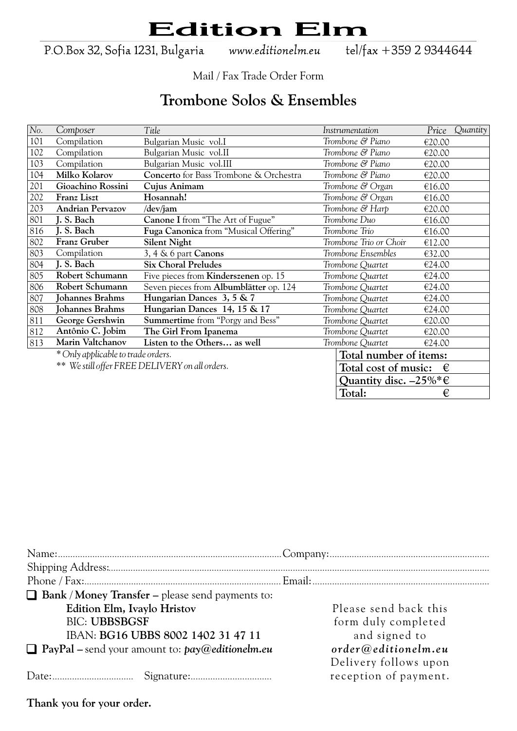P.O.Box 32, Sofia 1231, Bulgaria

www.editionelm.eu

tel/fax +359 2 9344644

Mail / Fax Trade Order Form

### **Trombone Solos & Ensembles**

| No. | Composer                           | Title                                          | Instrumentation                           |        | Price Quantity |
|-----|------------------------------------|------------------------------------------------|-------------------------------------------|--------|----------------|
| 101 | Compilation                        | Bulgarian Music vol.I                          | Trombone & Piano                          | €20.00 |                |
| 102 | Compilation                        | Bulgarian Music vol.II                         | Trombone & Piano                          | €20.00 |                |
| 103 | Compilation                        | Bulgarian Music vol.III                        | Trombone & Piano                          | €20.00 |                |
| 104 | Milko Kolarov                      | Concerto for Bass Trombone & Orchestra         | Trombone & Piano                          | €20.00 |                |
| 201 | Gioachino Rossini                  | Cujus Animam                                   | Trombone & Organ                          | €16.00 |                |
| 202 | Franz Liszt                        | Hosannah!                                      | Trombone & Organ                          | €16.00 |                |
| 203 | <b>Andrian Pervazov</b>            | /dev/jam                                       | Trombone & Harp                           | €20.00 |                |
| 801 | J. S. Bach                         | Canone I from "The Art of Fugue"               | Trombone Duo                              | €16.00 |                |
| 816 | J. S. Bach                         | Fuga Canonica from "Musical Offering"          | Trombone Trio                             | €16.00 |                |
| 802 | Franz Gruber                       | <b>Silent Night</b>                            | Trombone Trio or Choir                    | €12.00 |                |
| 803 | Compilation                        | 3, 4 & 6 part Canons                           | Trombone Ensembles                        | €32.00 |                |
| 804 | J. S. Bach                         | <b>Six Choral Preludes</b>                     | Trombone Quartet                          | €24.00 |                |
| 805 | Robert Schumann                    | Five pieces from <b>Kinderszenen</b> op. 15    | Trombone Quartet                          | €24.00 |                |
| 806 | Robert Schumann                    | Seven pieces from Albumblätter op. 124         | Trombone Quartet                          | €24.00 |                |
| 807 | Johannes Brahms                    | Hungarian Dances 3, 5 & 7                      | Trombone Quartet                          | €24.00 |                |
| 808 | <b>Johannes Brahms</b>             | Hungarian Dances 14, 15 & 17                   | Trombone Quartet                          | €24.00 |                |
| 811 | George Gershwin                    | <b>Summertime</b> from "Porgy and Bess"        | Trombone Quartet                          | €20.00 |                |
| 812 | Antônio C. Jobim                   | The Girl From Ipanema                          | Trombone Quartet                          | €20.00 |                |
| 813 | Marin Valtchanov                   | Listen to the Others as well                   | Trombone Quartet                          | €24.00 |                |
|     | * Only applicable to trade orders. |                                                | Total number of items:                    |        |                |
|     |                                    | ** We still offer FREE DELIVERY on all orders. | Total cost of music:                      | €      |                |
|     |                                    |                                                | Quantity disc. $-25\%$ <sup>*</sup> $\in$ |        |                |
|     |                                    |                                                | Total:                                    | €      |                |

| $\Box$ Bank / Money Transfer – please send payments to:                         |  |
|---------------------------------------------------------------------------------|--|
| Edition Elm, Ivaylo Hristov<br>Please send back this                            |  |
| <b>BIC: UBBSBGSF</b><br>form duly completed                                     |  |
| and signed to<br>IBAN: BG16 UBBS 8002 1402 31 47 11                             |  |
| $\Box$ PayPal – send your amount to: $pay@editionelm.eu$<br>order@editionelm.eu |  |
| Delivery follows upon                                                           |  |
| reception of payment.                                                           |  |